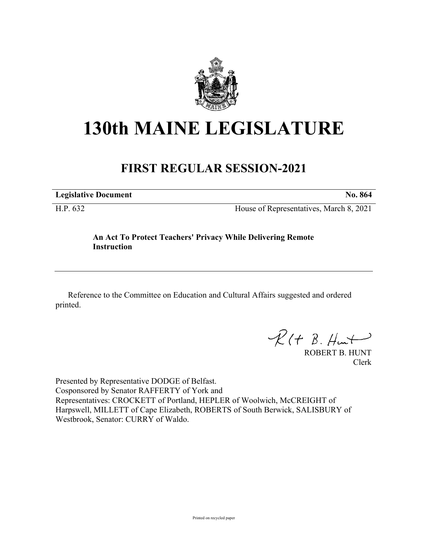

## **130th MAINE LEGISLATURE**

## **FIRST REGULAR SESSION-2021**

**Legislative Document No. 864**

H.P. 632 House of Representatives, March 8, 2021

## **An Act To Protect Teachers' Privacy While Delivering Remote Instruction**

Reference to the Committee on Education and Cultural Affairs suggested and ordered printed.

 $R(H B. H<sub>un</sub>+)$ 

ROBERT B. HUNT Clerk

Presented by Representative DODGE of Belfast. Cosponsored by Senator RAFFERTY of York and Representatives: CROCKETT of Portland, HEPLER of Woolwich, McCREIGHT of Harpswell, MILLETT of Cape Elizabeth, ROBERTS of South Berwick, SALISBURY of Westbrook, Senator: CURRY of Waldo.